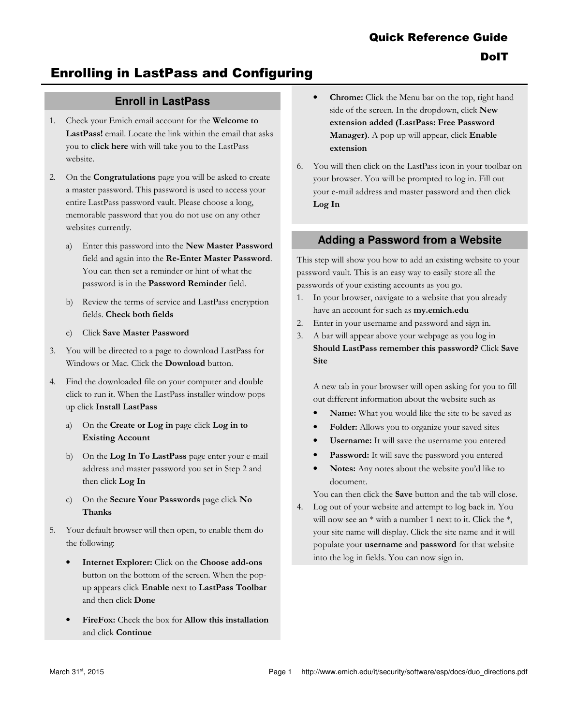# Enrolling in LastPass and Configuring

## **Enroll in LastPass**

- 1. Check your Emich email account for the Welcome to LastPass! email. Locate the link within the email that asks you to click here with will take you to the LastPass website.
- 2. On the Congratulations page you will be asked to create a master password. This password is used to access your entire LastPass password vault. Please choose a long, memorable password that you do not use on any other websites currently.
	- a) Enter this password into the New Master Password field and again into the Re-Enter Master Password. You can then set a reminder or hint of what the password is in the Password Reminder field.
	- b) Review the terms of service and LastPass encryption fields. Check both fields
	- c) Click Save Master Password
- 3. You will be directed to a page to download LastPass for Windows or Mac. Click the Download button.
- 4. Find the downloaded file on your computer and double click to run it. When the LastPass installer window pops up click Install LastPass
	- a) On the Create or Log in page click Log in to Existing Account
	- b) On the Log In To LastPass page enter your e-mail address and master password you set in Step 2 and then click Log In
	- c) On the Secure Your Passwords page click No Thanks
- 5. Your default browser will then open, to enable them do the following:
	- Internet Explorer: Click on the Choose add-ons button on the bottom of the screen. When the popup appears click Enable next to LastPass Toolbar and then click Done
	- FireFox: Check the box for Allow this installation and click Continue
- Chrome: Click the Menu bar on the top, right hand side of the screen. In the dropdown, click New extension added (LastPass: Free Password Manager). A pop up will appear, click Enable extension
- 6. You will then click on the LastPass icon in your toolbar on your browser. You will be prompted to log in. Fill out your e-mail address and master password and then click Log In

### **Adding a Password from a Website**

This step will show you how to add an existing website to your password vault. This is an easy way to easily store all the passwords of your existing accounts as you go.

- 1. In your browser, navigate to a website that you already have an account for such as my.emich.edu
- 2. Enter in your username and password and sign in.
- 3. A bar will appear above your webpage as you log in Should LastPass remember this password? Click Save Site

A new tab in your browser will open asking for you to fill out different information about the website such as

- Name: What you would like the site to be saved as
- Folder: Allows you to organize your saved sites
- Username: It will save the username you entered
- Password: It will save the password you entered
- Notes: Any notes about the website you'd like to document.

You can then click the **Save** button and the tab will close.

4. Log out of your website and attempt to log back in. You will now see an  $*$  with a number 1 next to it. Click the  $*$ , your site name will display. Click the site name and it will populate your username and password for that website into the log in fields. You can now sign in.